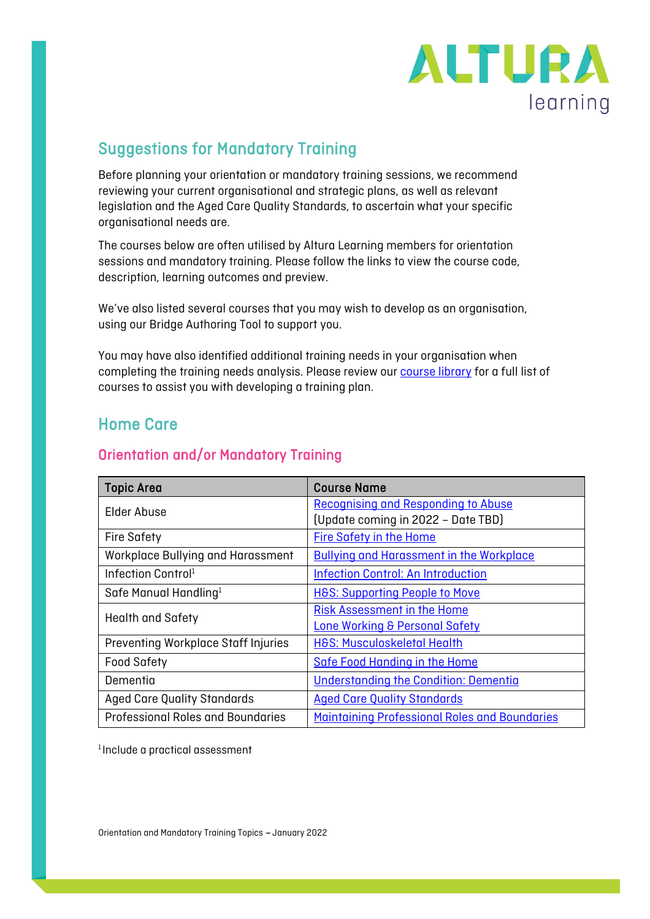

# Suggestions for Mandatory Training

Before planning your orientation or mandatory training sessions, we recommend reviewing your current organisational and strategic plans, as well as relevant legislation and the Aged Care Quality Standards, to ascertain what your specific organisational needs are.

The courses below are often utilised by Altura Learning members for orientation sessions and mandatory training. Please follow the links to view the course code, description, learning outcomes and preview.

We've also listed several courses that you may wish to develop as an organisation, using our Bridge Authoring Tool to support you.

You may have also identified additional training needs in your organisation when completing the training needs analysis. Please review our **course library** for a full list of courses to assist you with developing a training plan.

## Home Care

#### Orientation and/or Mandatory Training

| <b>Topic Area</b>                        | <b>Course Name</b>                              |
|------------------------------------------|-------------------------------------------------|
| Elder Abuse                              | Recognising and Responding to Abuse             |
|                                          | (Update coming in 2022 - Date TBD)              |
| <b>Fire Safety</b>                       | <b>Fire Safety in the Home</b>                  |
| Workplace Bullying and Harassment        | <b>Bullying and Harassment in the Workplace</b> |
| Infection Control <sup>1</sup>           | <b>Infection Control: An Introduction</b>       |
| Safe Manual Handling <sup>1</sup>        | <b>H&amp;S: Supporting People to Move</b>       |
| <b>Health and Safety</b>                 | <b>Risk Assessment in the Home</b>              |
|                                          | <b>Lone Working &amp; Personal Safety</b>       |
| Preventing Workplace Staff Injuries      | <b>H&amp;S: Musculoskeletal Health</b>          |
| <b>Food Safety</b>                       | <b>Safe Food Handing in the Home</b>            |
| Dementia                                 | Understanding the Condition: Dementia           |
| <b>Aged Care Quality Standards</b>       | <b>Aged Care Quality Standards</b>              |
| <b>Professional Roles and Boundaries</b> | Maintaining Professional Roles and Boundaries   |

<sup>1</sup> Include a practical assessment